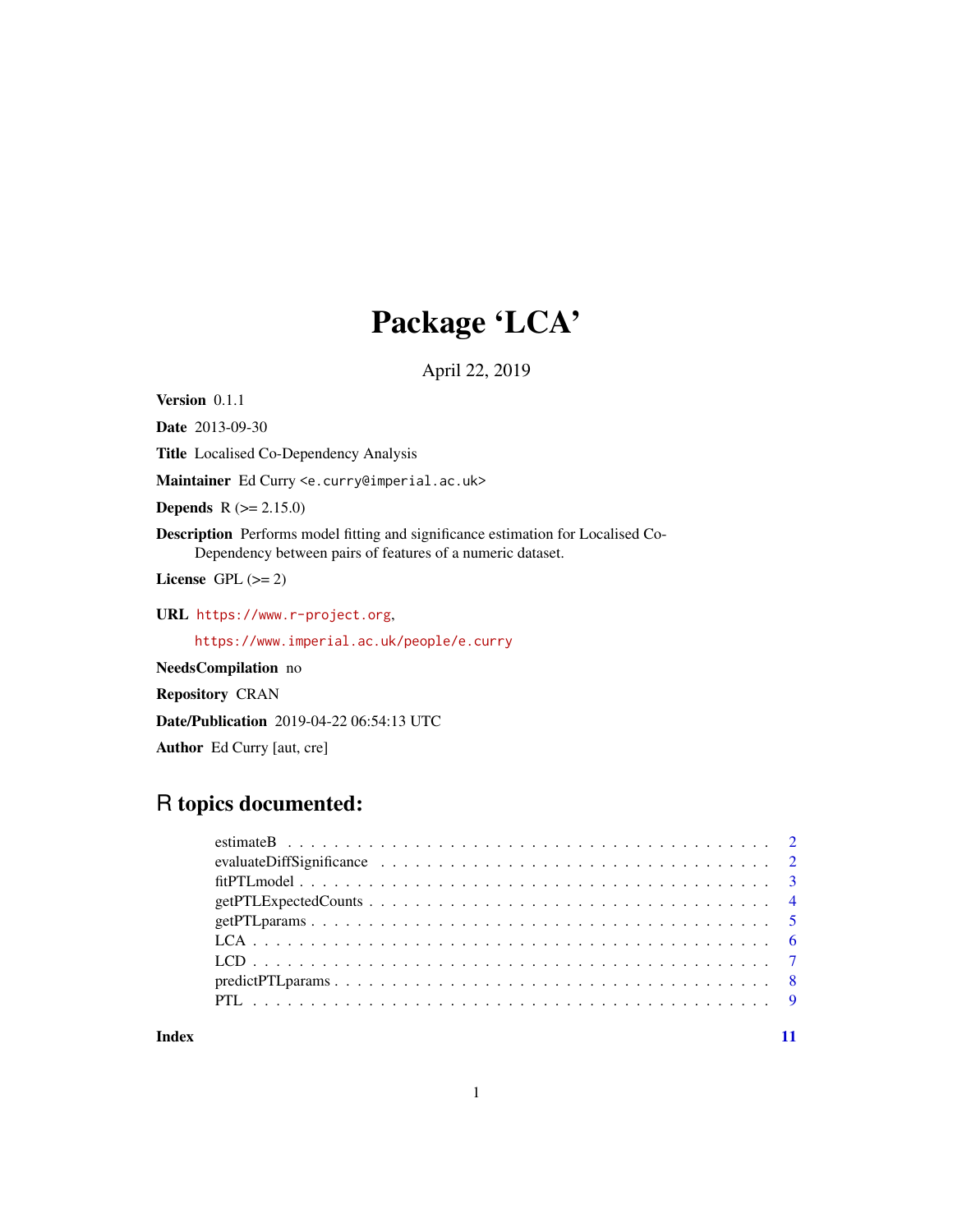# Package 'LCA'

April 22, 2019

Version 0.1.1

Date 2013-09-30

Title Localised Co-Dependency Analysis

Maintainer Ed Curry <e.curry@imperial.ac.uk>

**Depends**  $R (= 2.15.0)$ 

Description Performs model fitting and significance estimation for Localised Co-Dependency between pairs of features of a numeric dataset.

License GPL  $(>= 2)$ 

URL <https://www.r-project.org>,

<https://www.imperial.ac.uk/people/e.curry>

NeedsCompilation no

Repository CRAN

Date/Publication 2019-04-22 06:54:13 UTC

Author Ed Curry [aut, cre]

# R topics documented:

# **Index** [11](#page-10-0)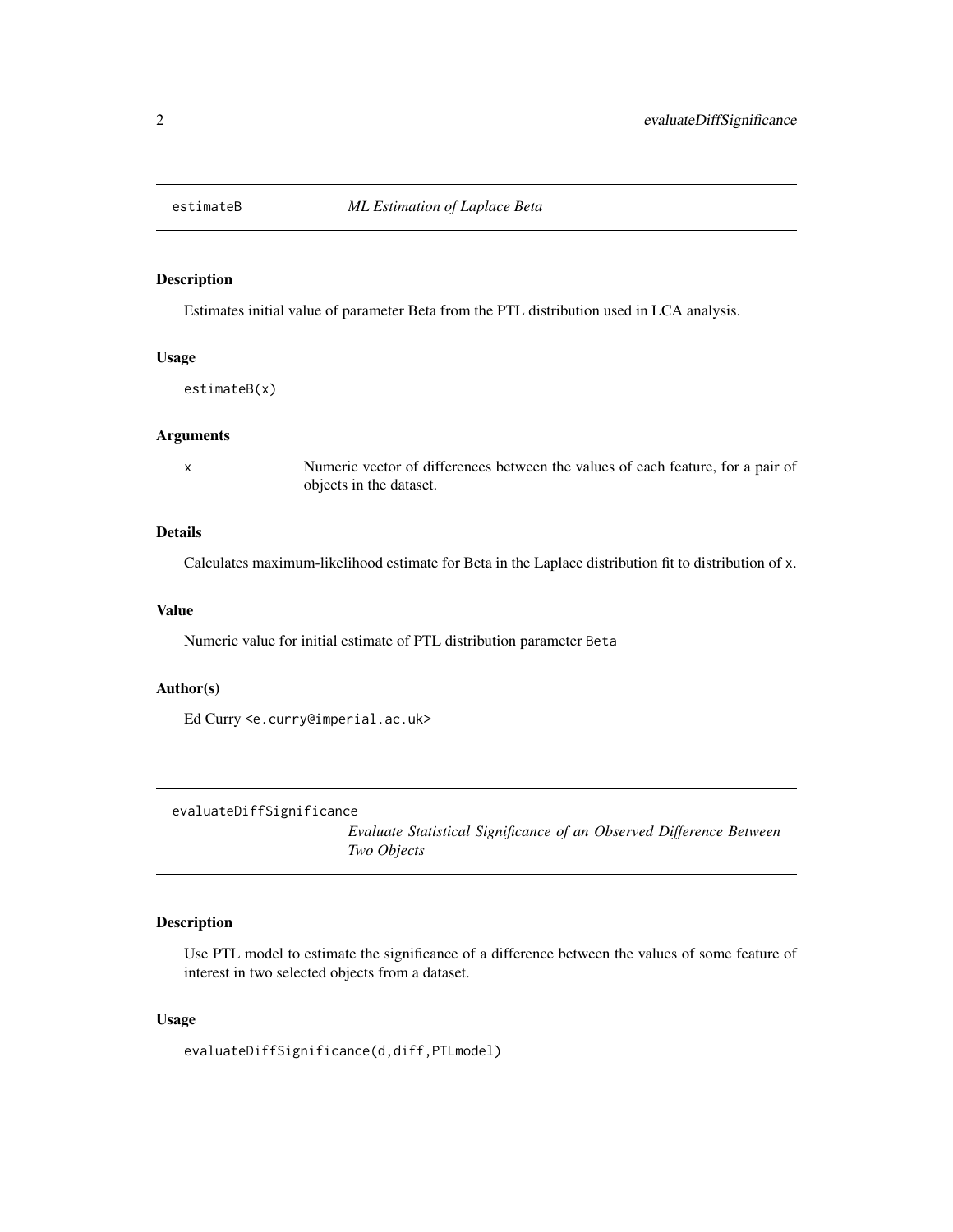<span id="page-1-0"></span>

# Description

Estimates initial value of parameter Beta from the PTL distribution used in LCA analysis.

# Usage

estimateB(x)

# Arguments

x Numeric vector of differences between the values of each feature, for a pair of objects in the dataset.

# Details

Calculates maximum-likelihood estimate for Beta in the Laplace distribution fit to distribution of x.

# Value

Numeric value for initial estimate of PTL distribution parameter Beta

#### Author(s)

Ed Curry <e.curry@imperial.ac.uk>

evaluateDiffSignificance

*Evaluate Statistical Significance of an Observed Difference Between Two Objects*

# Description

Use PTL model to estimate the significance of a difference between the values of some feature of interest in two selected objects from a dataset.

# Usage

evaluateDiffSignificance(d,diff,PTLmodel)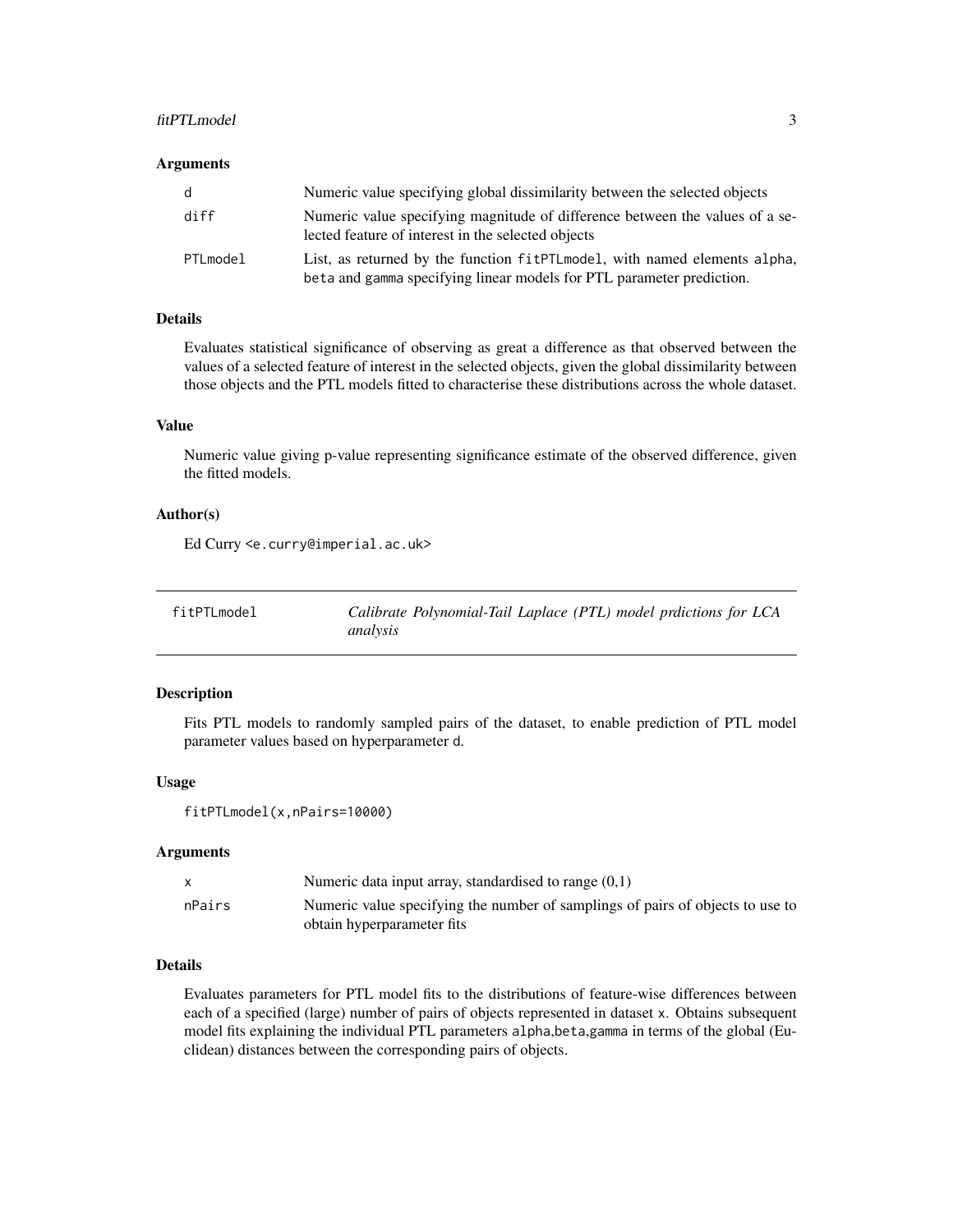#### <span id="page-2-0"></span>fitPTLmodel 3

#### **Arguments**

| d        | Numeric value specifying global dissimilarity between the selected objects                                                                           |
|----------|------------------------------------------------------------------------------------------------------------------------------------------------------|
| diff     | Numeric value specifying magnitude of difference between the values of a se-<br>lected feature of interest in the selected objects                   |
| PTLmodel | List, as returned by the function fit PTL model, with named elements alpha,<br>beta and gamma specifying linear models for PTL parameter prediction. |

# Details

Evaluates statistical significance of observing as great a difference as that observed between the values of a selected feature of interest in the selected objects, given the global dissimilarity between those objects and the PTL models fitted to characterise these distributions across the whole dataset.

#### Value

Numeric value giving p-value representing significance estimate of the observed difference, given the fitted models.

# Author(s)

Ed Curry <e.curry@imperial.ac.uk>

| fitPTLmodel | Calibrate Polynomial-Tail Laplace (PTL) model prdictions for LCA |
|-------------|------------------------------------------------------------------|
|             | analysis                                                         |

#### Description

Fits PTL models to randomly sampled pairs of the dataset, to enable prediction of PTL model parameter values based on hyperparameter d.

#### Usage

fitPTLmodel(x,nPairs=10000)

#### Arguments

|        | Numeric data input array, standardised to range $(0,1)$                        |
|--------|--------------------------------------------------------------------------------|
| nPairs | Numeric value specifying the number of samplings of pairs of objects to use to |
|        | obtain hyperparameter fits                                                     |

#### Details

Evaluates parameters for PTL model fits to the distributions of feature-wise differences between each of a specified (large) number of pairs of objects represented in dataset x. Obtains subsequent model fits explaining the individual PTL parameters alpha,beta,gamma in terms of the global (Euclidean) distances between the corresponding pairs of objects.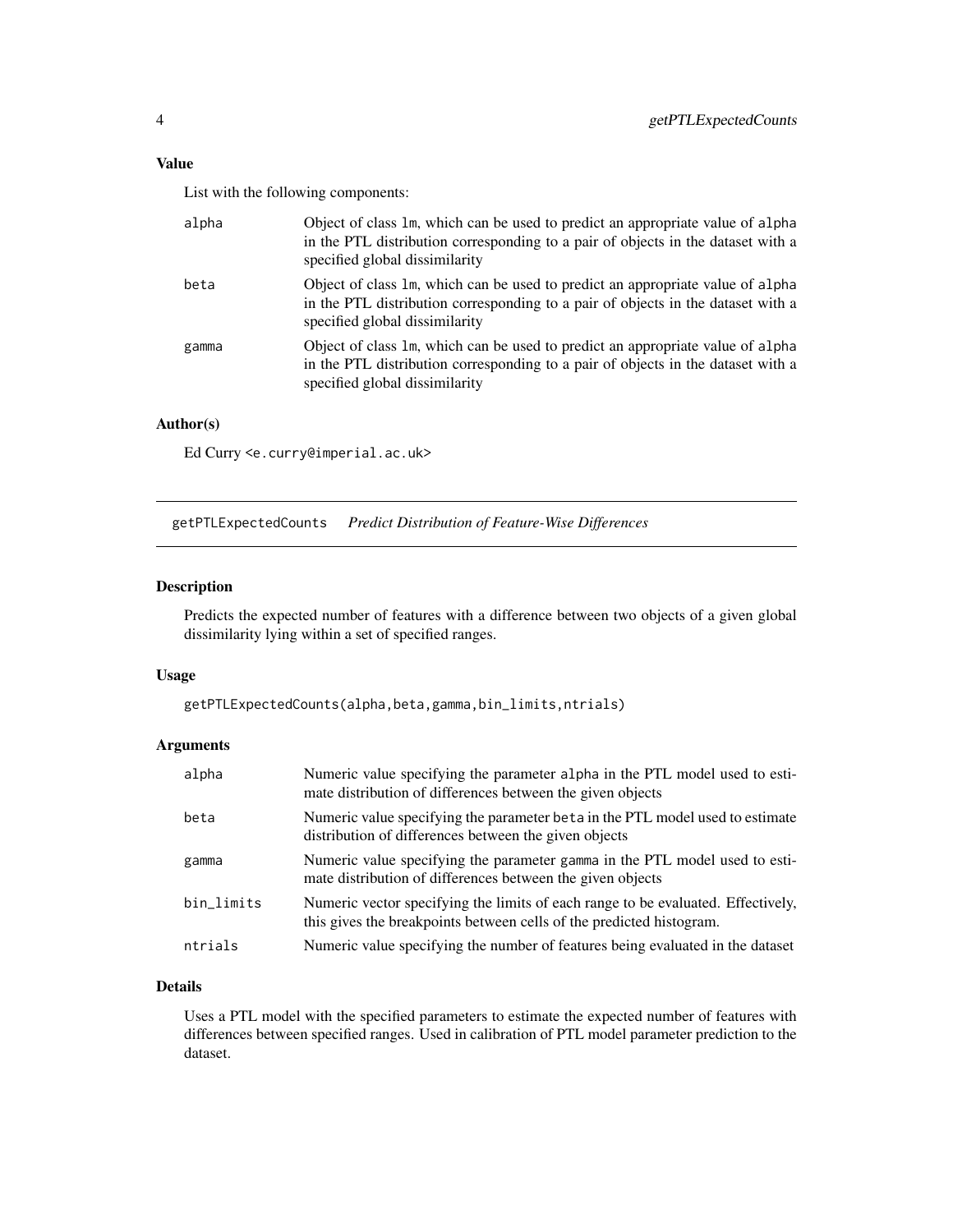#### <span id="page-3-0"></span>Value

List with the following components:

| alpha | Object of class 1m, which can be used to predict an appropriate value of alpha<br>in the PTL distribution corresponding to a pair of objects in the dataset with a<br>specified global dissimilarity |
|-------|------------------------------------------------------------------------------------------------------------------------------------------------------------------------------------------------------|
| beta  | Object of class 1m, which can be used to predict an appropriate value of alpha<br>in the PTL distribution corresponding to a pair of objects in the dataset with a<br>specified global dissimilarity |
| gamma | Object of class 1m, which can be used to predict an appropriate value of alpha<br>in the PTL distribution corresponding to a pair of objects in the dataset with a<br>specified global dissimilarity |

# Author(s)

Ed Curry <e.curry@imperial.ac.uk>

getPTLExpectedCounts *Predict Distribution of Feature-Wise Differences*

# Description

Predicts the expected number of features with a difference between two objects of a given global dissimilarity lying within a set of specified ranges.

# Usage

getPTLExpectedCounts(alpha,beta,gamma,bin\_limits,ntrials)

# Arguments

| alpha      | Numeric value specifying the parameter alpha in the PTL model used to esti-<br>mate distribution of differences between the given objects                |
|------------|----------------------------------------------------------------------------------------------------------------------------------------------------------|
| beta       | Numeric value specifying the parameter beta in the PTL model used to estimate<br>distribution of differences between the given objects                   |
| gamma      | Numeric value specifying the parameter gamma in the PTL model used to esti-<br>mate distribution of differences between the given objects                |
| bin_limits | Numeric vector specifying the limits of each range to be evaluated. Effectively,<br>this gives the breakpoints between cells of the predicted histogram. |
| ntrials    | Numeric value specifying the number of features being evaluated in the dataset                                                                           |

# Details

Uses a PTL model with the specified parameters to estimate the expected number of features with differences between specified ranges. Used in calibration of PTL model parameter prediction to the dataset.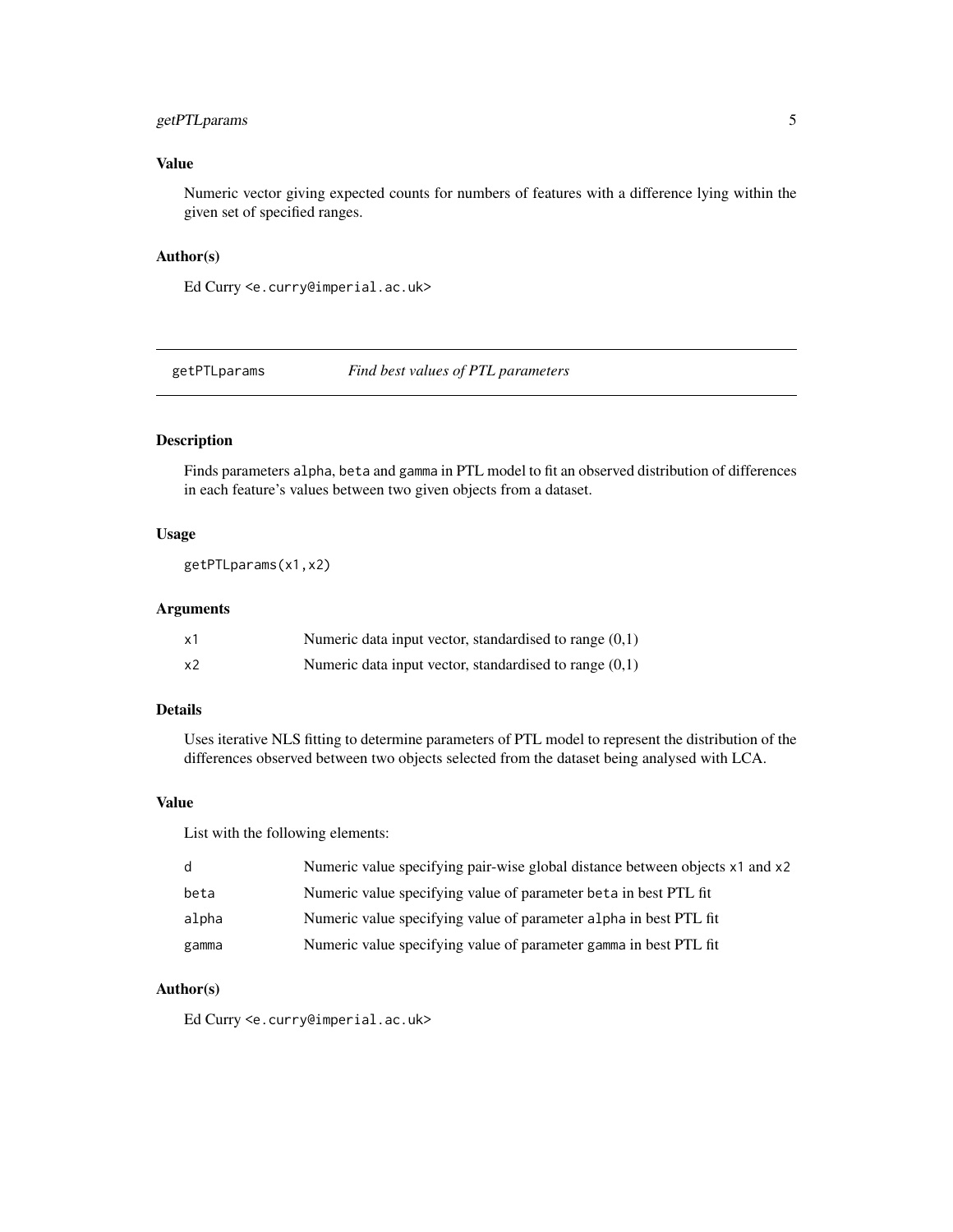# <span id="page-4-0"></span>getPTLparams 5

# Value

Numeric vector giving expected counts for numbers of features with a difference lying within the given set of specified ranges.

# Author(s)

Ed Curry <e.curry@imperial.ac.uk>

getPTLparams *Find best values of PTL parameters*

# Description

Finds parameters alpha, beta and gamma in PTL model to fit an observed distribution of differences in each feature's values between two given objects from a dataset.

#### Usage

getPTLparams(x1,x2)

# Arguments

| x1 | Numeric data input vector, standardised to range $(0,1)$ |
|----|----------------------------------------------------------|
| x2 | Numeric data input vector, standardised to range $(0,1)$ |

# Details

Uses iterative NLS fitting to determine parameters of PTL model to represent the distribution of the differences observed between two objects selected from the dataset being analysed with LCA.

# Value

List with the following elements:

| d     | Numeric value specifying pair-wise global distance between objects x1 and x2 |
|-------|------------------------------------------------------------------------------|
| beta  | Numeric value specifying value of parameter beta in best PTL fit             |
| alpha | Numeric value specifying value of parameter alpha in best PTL fit            |
| gamma | Numeric value specifying value of parameter gamma in best PTL fit            |

### Author(s)

Ed Curry <e.curry@imperial.ac.uk>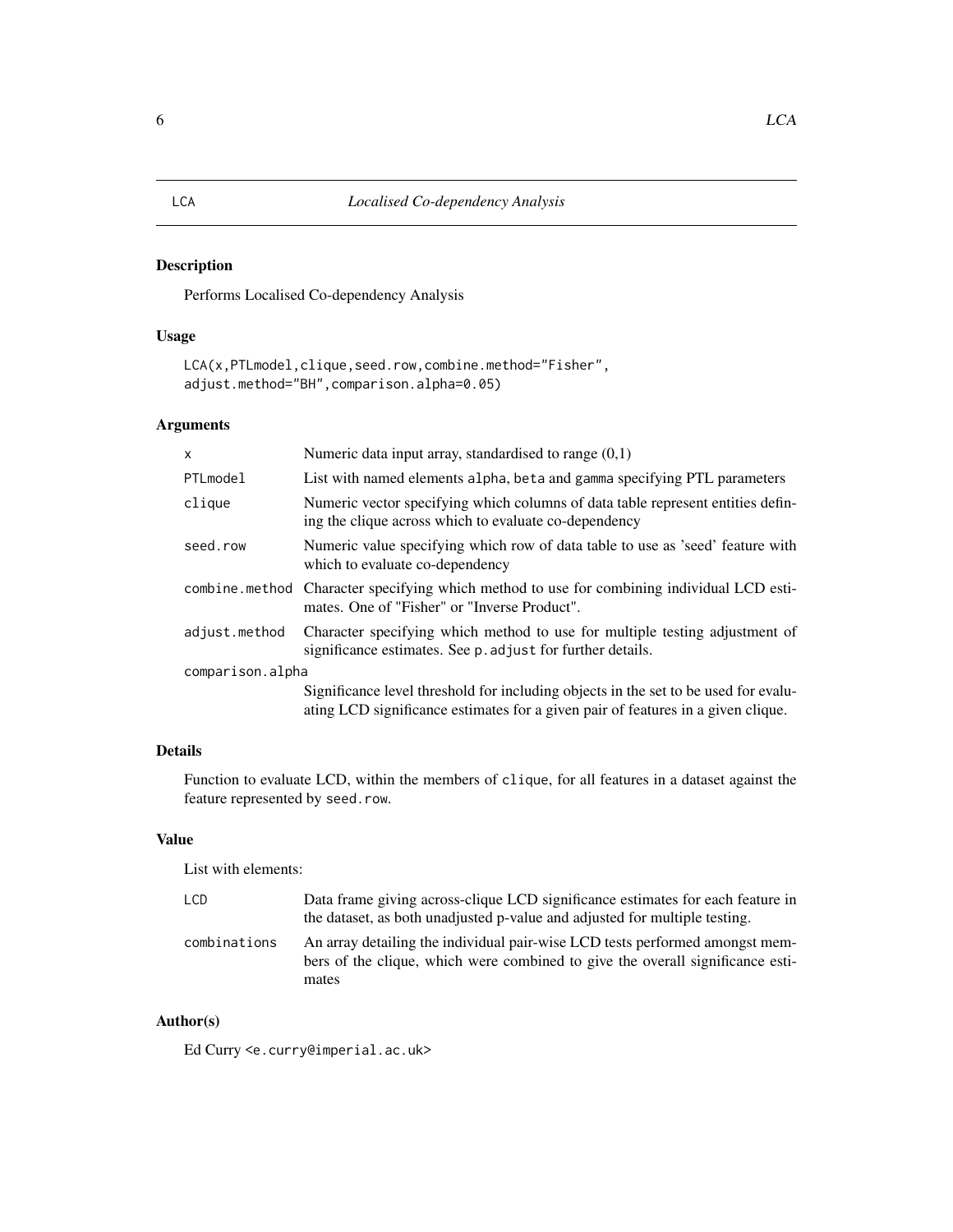# <span id="page-5-0"></span>Description

Performs Localised Co-dependency Analysis

# Usage

```
LCA(x,PTLmodel,clique,seed.row,combine.method="Fisher",
adjust.method="BH",comparison.alpha=0.05)
```
# Arguments

| $\mathsf{x}$     | Numeric data input array, standardised to range $(0,1)$                                                                                                                 |  |  |
|------------------|-------------------------------------------------------------------------------------------------------------------------------------------------------------------------|--|--|
| PTLmodel         | List with named elements alpha, beta and gamma specifying PTL parameters                                                                                                |  |  |
| clique           | Numeric vector specifying which columns of data table represent entities defin-<br>ing the clique across which to evaluate co-dependency                                |  |  |
| seed.row         | Numeric value specifying which row of data table to use as 'seed' feature with<br>which to evaluate co-dependency                                                       |  |  |
| combine.method   | Character specifying which method to use for combining individual LCD esti-<br>mates. One of "Fisher" or "Inverse Product".                                             |  |  |
| adjust.method    | Character specifying which method to use for multiple testing adjustment of<br>significance estimates. See p. adjust for further details.                               |  |  |
| comparison.alpha |                                                                                                                                                                         |  |  |
|                  | Significance level threshold for including objects in the set to be used for evalu-<br>ating LCD significance estimates for a given pair of features in a given clique. |  |  |

# Details

Function to evaluate LCD, within the members of clique, for all features in a dataset against the feature represented by seed.row.

# Value

List with elements:

| LCD.         | Data frame giving across-clique LCD significance estimates for each feature in                                                                                 |
|--------------|----------------------------------------------------------------------------------------------------------------------------------------------------------------|
|              | the dataset, as both unadjusted p-value and adjusted for multiple testing.                                                                                     |
| combinations | An array detailing the individual pair-wise LCD tests performed amongst mem-<br>bers of the clique, which were combined to give the overall significance esti- |
|              | mates                                                                                                                                                          |

# Author(s)

Ed Curry <e.curry@imperial.ac.uk>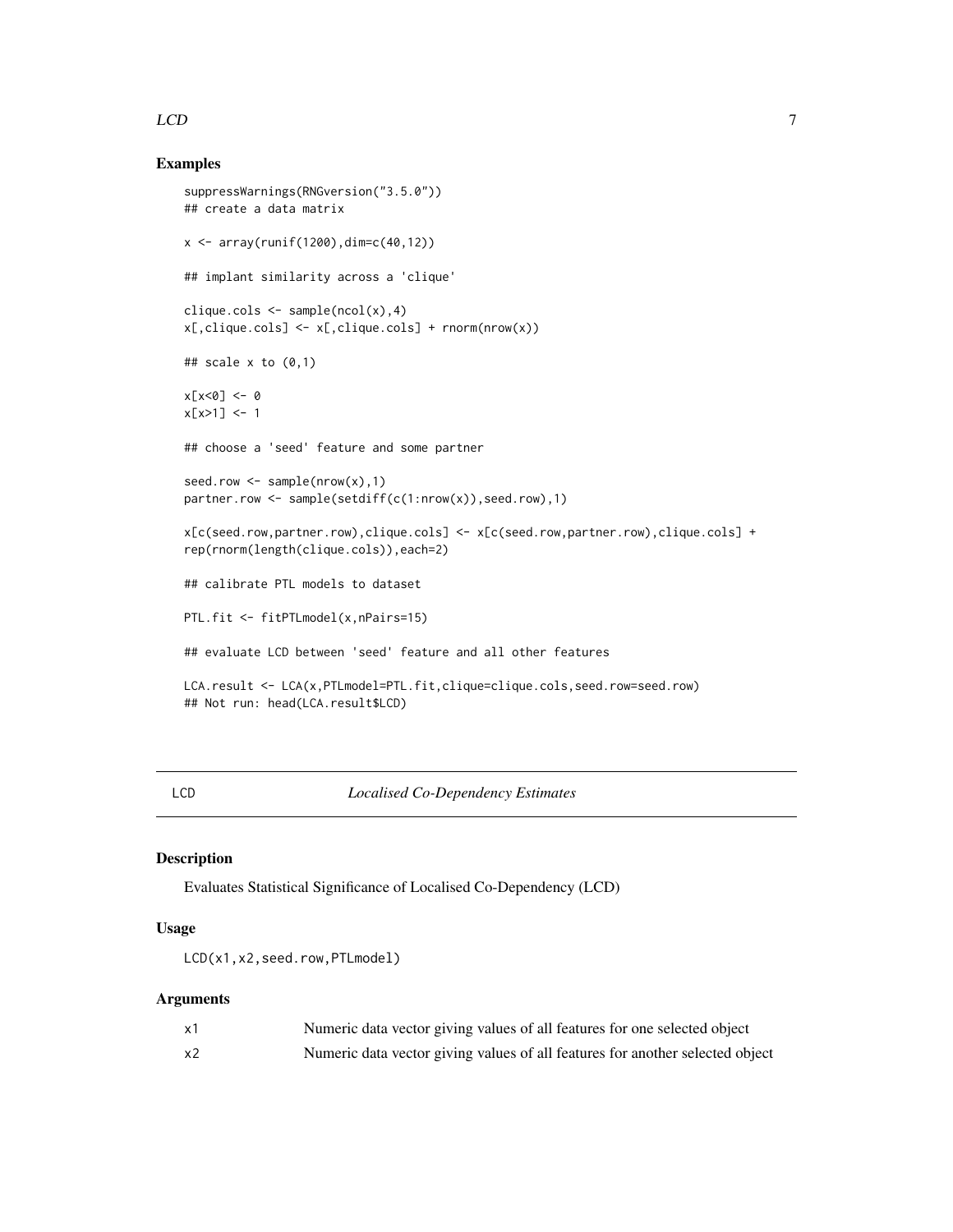## <span id="page-6-0"></span> $LCD$  7

# Examples

```
suppressWarnings(RNGversion("3.5.0"))
## create a data matrix
x \le -\arctan(\text{runif}(1200), \text{dim=c}(40, 12))## implant similarity across a 'clique'
clique.cols \leq sample(ncol(x),4)
x[,clique.cols] <- x[,clique.cols] + rnorm(nrow(x))
## scale x to (0,1)x[x<0] <- 0
x[x>1] < -1## choose a 'seed' feature and some partner
seed.row \leq sample(nrow(x),1)
partner.row <- sample(setdiff(c(1:nrow(x)),seed.row),1)
x[c(seed.row,partner.row),clique.cols] <- x[c(seed.row,partner.row),clique.cols] +
rep(rnorm(length(clique.cols)),each=2)
## calibrate PTL models to dataset
PTL.fit <- fitPTLmodel(x,nPairs=15)
## evaluate LCD between 'seed' feature and all other features
LCA.result <- LCA(x,PTLmodel=PTL.fit,clique=clique.cols,seed.row=seed.row)
## Not run: head(LCA.result$LCD)
```
LCD *Localised Co-Dependency Estimates*

# Description

Evaluates Statistical Significance of Localised Co-Dependency (LCD)

# Usage

LCD(x1,x2,seed.row,PTLmodel)

# Arguments

| x1 | Numeric data vector giving values of all features for one selected object     |
|----|-------------------------------------------------------------------------------|
| x2 | Numeric data vector giving values of all features for another selected object |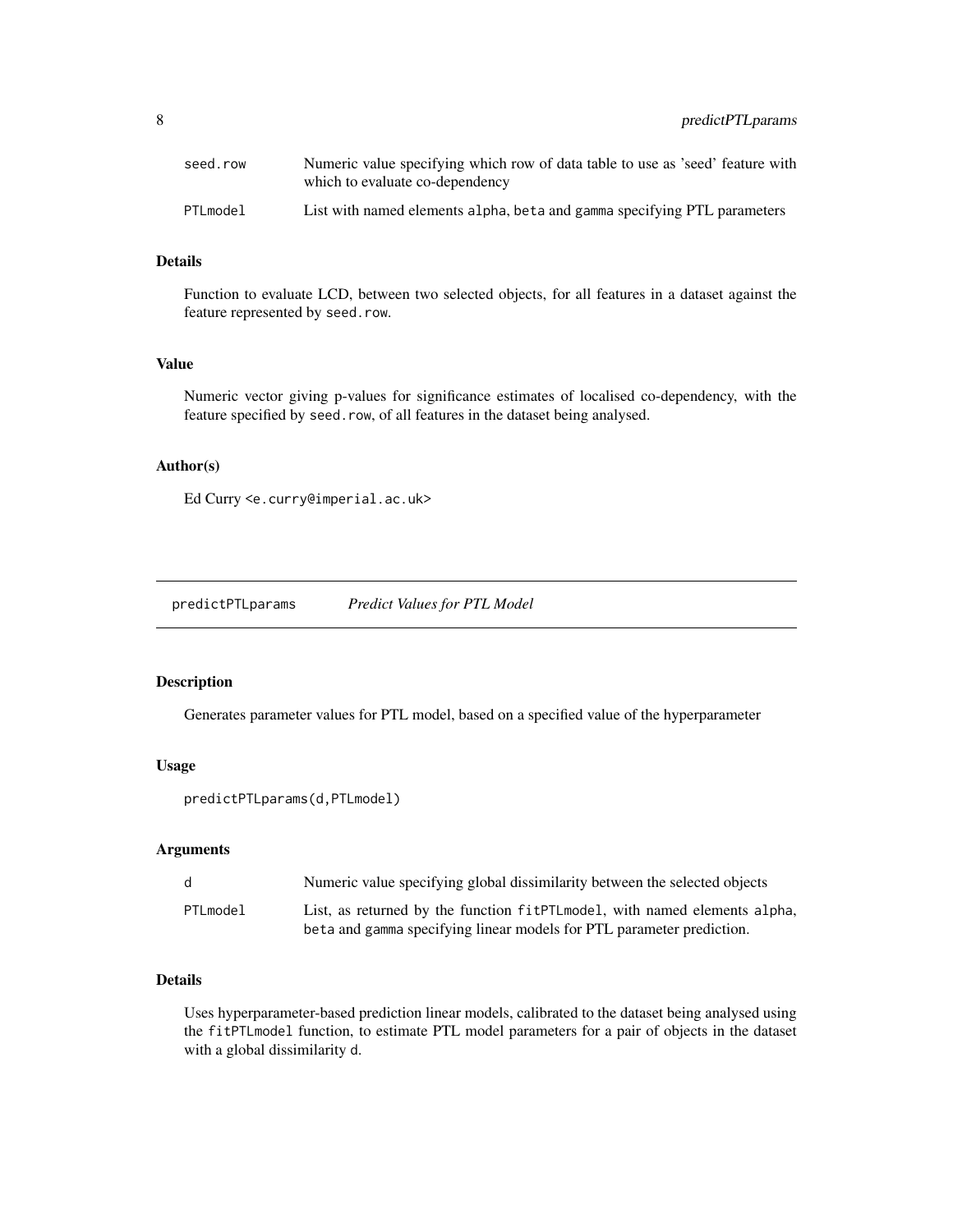<span id="page-7-0"></span>

| seed.row | Numeric value specifying which row of data table to use as 'seed' feature with<br>which to evaluate co-dependency |
|----------|-------------------------------------------------------------------------------------------------------------------|
| PTLmodel | List with named elements alpha, beta and gamma specifying PTL parameters                                          |

#### Details

Function to evaluate LCD, between two selected objects, for all features in a dataset against the feature represented by seed.row.

# Value

Numeric vector giving p-values for significance estimates of localised co-dependency, with the feature specified by seed.row, of all features in the dataset being analysed.

#### Author(s)

Ed Curry <e.curry@imperial.ac.uk>

predictPTLparams *Predict Values for PTL Model*

#### Description

Generates parameter values for PTL model, based on a specified value of the hyperparameter

# Usage

predictPTLparams(d,PTLmodel)

# Arguments

| d        | Numeric value specifying global dissimilarity between the selected objects                                                                         |
|----------|----------------------------------------------------------------------------------------------------------------------------------------------------|
| PTLmodel | List, as returned by the function fitPTLmodel, with named elements alpha,<br>beta and gamma specifying linear models for PTL parameter prediction. |

# Details

Uses hyperparameter-based prediction linear models, calibrated to the dataset being analysed using the fitPTLmodel function, to estimate PTL model parameters for a pair of objects in the dataset with a global dissimilarity d.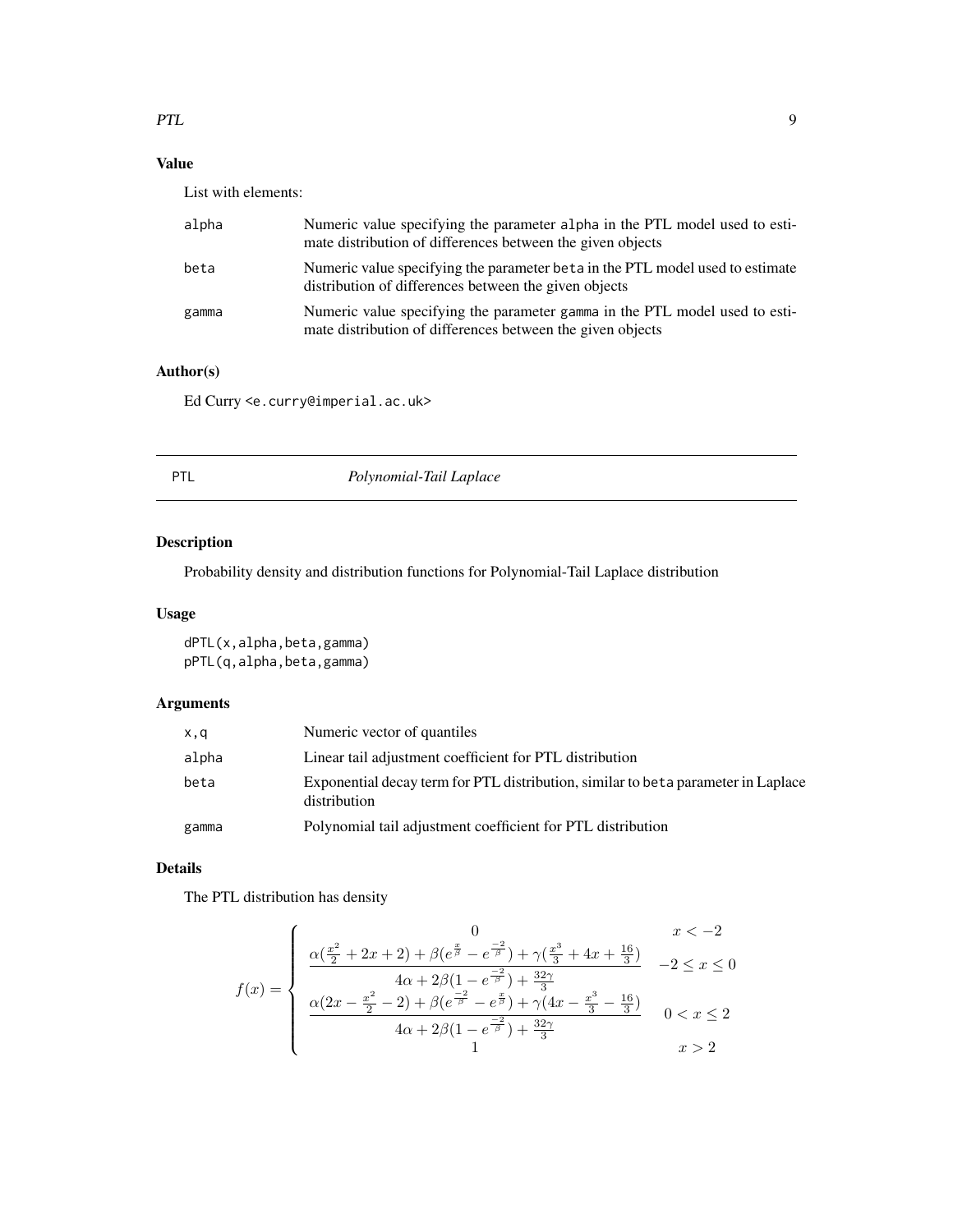# <span id="page-8-0"></span>PTL 9

# Value

List with elements:

| alpha | Numeric value specifying the parameter alpha in the PTL model used to esti-<br>mate distribution of differences between the given objects |
|-------|-------------------------------------------------------------------------------------------------------------------------------------------|
| beta  | Numeric value specifying the parameter beta in the PTL model used to estimate<br>distribution of differences between the given objects    |
| gamma | Numeric value specifying the parameter gamma in the PTL model used to esti-<br>mate distribution of differences between the given objects |

# Author(s)

Ed Curry <e.curry@imperial.ac.uk>

| Polynomial-Tail Laplace<br>PTL |  |
|--------------------------------|--|
|--------------------------------|--|

# Description

Probability density and distribution functions for Polynomial-Tail Laplace distribution

# Usage

dPTL(x,alpha,beta,gamma) pPTL(q,alpha,beta,gamma)

# Arguments

| x,q   | Numeric vector of quantiles                                                                        |
|-------|----------------------------------------------------------------------------------------------------|
| alpha | Linear tail adjustment coefficient for PTL distribution                                            |
| beta  | Exponential decay term for PTL distribution, similar to be to parameter in Laplace<br>distribution |
| gamma | Polynomial tail adjustment coefficient for PTL distribution                                        |

# Details

The PTL distribution has density

$$
f(x) = \begin{cases} 0 & x < -2 \\ \frac{\alpha(\frac{x^2}{2} + 2x + 2) + \beta(e^{\frac{x}{\beta}} - e^{\frac{-2}{\beta}}) + \gamma(\frac{x^3}{3} + 4x + \frac{16}{3})}{4\alpha + 2\beta(1 - e^{\frac{-2}{\beta}}) + \frac{32\gamma}{3}} & -2 \le x \le 0 \\ \frac{\alpha(2x - \frac{x^2}{2} - 2) + \beta(e^{\frac{-2}{\beta}} - e^{\frac{x}{\beta}}) + \gamma(4x - \frac{x^3}{3} - \frac{16}{3})}{4\alpha + 2\beta(1 - e^{\frac{-2}{\beta}}) + \frac{32\gamma}{3}} & 0 < x \le 2 \\ 1 & x > 2 \end{cases}
$$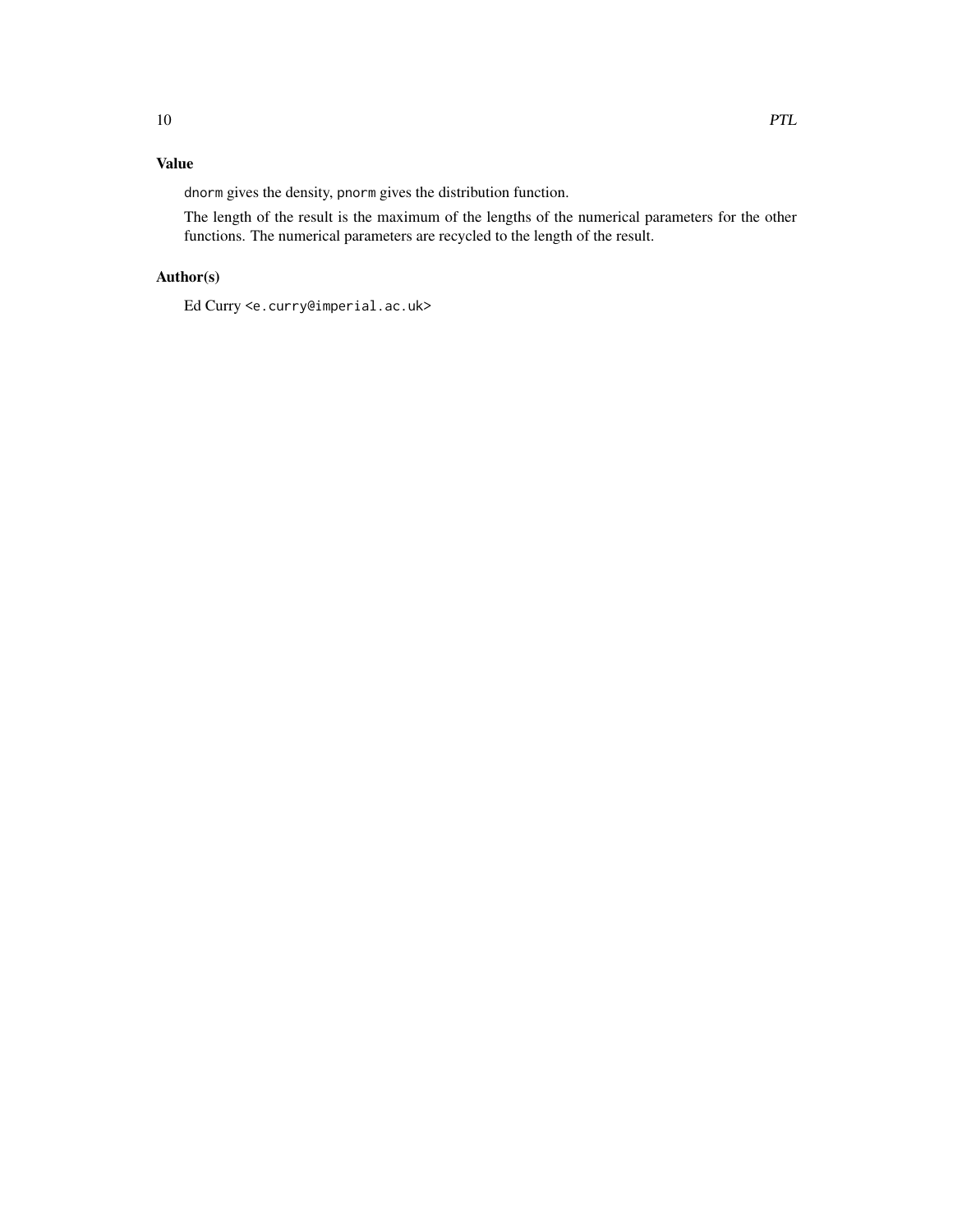# Value

dnorm gives the density, pnorm gives the distribution function.

The length of the result is the maximum of the lengths of the numerical parameters for the other functions. The numerical parameters are recycled to the length of the result.

# Author(s)

Ed Curry <e.curry@imperial.ac.uk>